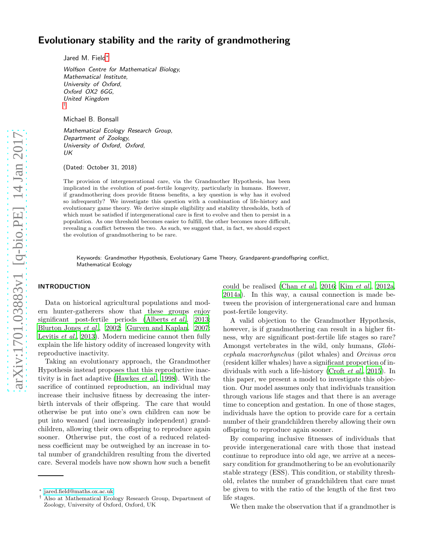# Evolutionary stability and the rarity of grandmothering

Jared M. Field[∗](#page-0-0)

Wolfson Centre for Mathematical Biology, Mathematical Institute, University of Oxford, Oxford OX2 6GG, United Kingdom

Michael B. Bonsall

[†](#page-0-1)

Mathematical Ecology Research Group, Department of Zoology, University of Oxford, Oxford, UK

(Dated: October 31, 2018)

The provision of intergenerational care, via the Grandmother Hypothesis, has been implicated in the evolution of post-fertile longevity, particularly in humans. However, if grandmothering does provide fitness benefits, a key question is why has it evolved so infrequently? We investigate this question with a combination of life-history and evolutionary game theory. We derive simple eligibility and stability thresholds, both of which must be satisfied if intergenerational care is first to evolve and then to persist in a population. As one threshold becomes easier to fulfill, the other becomes more difficult, revealing a conflict between the two. As such, we suggest that, in fact, we should expect the evolution of grandmothering to be rare.

Keywords: Grandmother Hypothesis, Evolutionary Game Theory, Grandparent-grandoffspring conflict, Mathematical Ecology

## INTRODUCTION

Data on historical agricultural populations and modern hunter-gatherers show that these groups enjoy significant post-fertile periods [\(Alberts](#page-4-0) et al., [2013;](#page-4-0) [Blurton Jones](#page-4-1) et al., [2002](#page-4-1); [Gurven and Kaplan, 2007;](#page-4-2) [Levitis](#page-4-3) et al., [2013\)](#page-4-3). Modern medicine cannot then fully explain the life history oddity of increased longevity with reproductive inactivity.

Taking an evolutionary approach, the Grandmother Hypothesis instead proposes that this reproductive inactivity is in fact adaptive [\(Hawkes](#page-4-4) et al., [1998\)](#page-4-4). With the sacrifice of continued reproduction, an individual may increase their inclusive fitness by decreasing the interbirth intervals of their offspring. The care that would otherwise be put into one's own children can now be put into weaned (and increasingly independent) grandchildren, allowing their own offspring to reproduce again sooner. Otherwise put, the cost of a reduced relatedness coefficient may be outweighed by an increase in total number of grandchildren resulting from the diverted care. Several models have now shown how such a benefit

could be realised [\(Chan](#page-4-5) et al., [2016;](#page-4-5) Kim [et al.](#page-4-6), [2012a,](#page-4-6) [2014a\)](#page-4-7). In this way, a causal connection is made between the provision of intergenerational care and human post-fertile longevity.

A valid objection to the Grandmother Hypothesis, however, is if grandmothering can result in a higher fitness, why are significant post-fertile life stages so rare? Amongst vertebrates in the wild, only humans, Globicephala macrorhynchus (pilot whales) and Orcinus orca (resident killer whales) have a significant proportion of individuals with such a life-history [\(Croft](#page-4-8) et al., [2015\)](#page-4-8). In this paper, we present a model to investigate this objection. Our model assumes only that individuals transition through various life stages and that there is an average time to conception and gestation. In one of those stages, individuals have the option to provide care for a certain number of their grandchildren thereby allowing their own offspring to reproduce again sooner.

By comparing inclusive fitnesses of individuals that provide intergenerational care with those that instead continue to reproduce into old age, we arrive at a necessary condition for grandmothering to be an evolutionarily stable strategy (ESS). This condition, or stability threshold, relates the number of grandchildren that care must be given to with the ratio of the length of the first two life stages.

We then make the observation that if a grandmother is

<span id="page-0-0"></span><sup>∗</sup> [jared.field@maths.ox.ac.uk](mailto:jared.field@maths.ox.ac.uk)

<span id="page-0-1"></span><sup>†</sup> Also at Mathematical Ecology Research Group, Department of Zoology, University of Oxford, Oxford, UK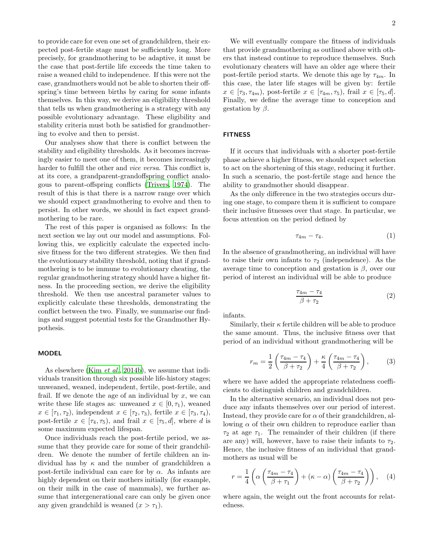to provide care for even one set of grandchildren, their expected post-fertile stage must be sufficiently long. More precisely, for grandmothering to be adaptive, it must be the case that post-fertile life exceeds the time taken to raise a weaned child to independence. If this were not the case, grandmothers would not be able to shorten their offspring's time between births by caring for some infants themselves. In this way, we derive an eligibility threshold that tells us when grandmothering is a strategy with any possible evolutionary advantage. These eligibility and stability criteria must both be satisfied for grandmothering to evolve and then to persist.

Our analyses show that there is conflict between the stability and eligibility thresholds. As it becomes increasingly easier to meet one of them, it becomes increasingly harder to fulfill the other and *vice versa*. This conflict is, at its core, a grandparent-grandoffspring conflict analogous to parent-offspring conflicts [\(Trivers, 1974\)](#page-4-9). The result of this is that there is a narrow range over which we should expect grandmothering to evolve and then to persist. In other words, we should in fact expect grandmothering to be rare.

The rest of this paper is organised as follows: In the next section we lay out our model and assumptions. Following this, we explicitly calculate the expected inclusive fitness for the two different strategies. We then find the evolutionary stability threshold, noting that if grandmothering is to be immune to evolutionary cheating, the regular grandmothering strategy should have a higher fitness. In the proceeding section, we derive the eligibility threshold. We then use ancestral parameter values to explicitly calculate these thresholds, demonstrating the conflict between the two. Finally, we summarise our findings and suggest potential tests for the Grandmother Hypothesis.

#### MODEL

As elsewhere (Kim *[et al.](#page-4-10)*, [2014b\)](#page-4-10), we assume that individuals transition through six possible life-history stages; unweaned, weaned, independent, fertile, post-fertile, and frail. If we denote the age of an individual by  $x$ , we can write these life stages as: unweaned  $x \in [0, \tau_1)$ , weaned  $x \in [\tau_1, \tau_2]$ , independent  $x \in [\tau_2, \tau_3]$ , fertile  $x \in [\tau_3, \tau_4]$ , post-fertile  $x \in [\tau_4, \tau_5)$ , and frail  $x \in [\tau_5, d]$ , where d is some maximum expected lifespan.

Once individuals reach the post-fertile period, we assume that they provide care for some of their grandchildren. We denote the number of fertile children an individual has by  $\kappa$  and the number of grandchildren a post-fertile individual can care for by  $\alpha$ . As infants are highly dependent on their mothers initially (for example, on their milk in the case of mammals), we further assume that intergenerational care can only be given once any given grandchild is weaned  $(x > \tau_1)$ .

We will eventually compare the fitness of individuals that provide grandmothering as outlined above with others that instead continue to reproduce themselves. Such evolutionary cheaters will have an older age where their post-fertile period starts. We denote this age by  $\tau_{4m}$ . In this case, the later life stages will be given by: fertile  $x \in [\tau_3, \tau_{4m}),$  post-fertile  $x \in [\tau_{4m}, \tau_5),$  frail  $x \in [\tau_5, d].$ Finally, we define the average time to conception and gestation by  $\beta$ .

## **FITNESS**

If it occurs that individuals with a shorter post-fertile phase achieve a higher fitness, we should expect selection to act on the shortening of this stage, reducing it further. In such a scenario, the post-fertile stage and hence the ability to grandmother should disappear.

As the only difference in the two strategies occurs during one stage, to compare them it is sufficient to compare their inclusive fitnesses over that stage. In particular, we focus attention on the period defined by

$$
\tau_{4m} - \tau_4. \tag{1}
$$

In the absence of grandmothering, an individual will have to raise their own infants to  $\tau_2$  (independence). As the average time to conception and gestation is  $\beta$ , over our period of interest an individual will be able to produce

$$
\frac{\tau_{4m} - \tau_4}{\beta + \tau_2} \tag{2}
$$

infants.

Similarly, their  $\kappa$  fertile children will be able to produce the same amount. Thus, the inclusive fitness over that period of an individual without grandmothering will be

<span id="page-1-0"></span>
$$
r_m = \frac{1}{2} \left( \frac{\tau_{4m} - \tau_4}{\beta + \tau_2} \right) + \frac{\kappa}{4} \left( \frac{\tau_{4m} - \tau_4}{\beta + \tau_2} \right),\tag{3}
$$

where we have added the appropriate relatedness coefficients to distinguish children and grandchildren.

In the alternative scenario, an individual does not produce any infants themselves over our period of interest. Instead, they provide care for  $\alpha$  of their grandchildren, allowing  $\alpha$  of their own children to reproduce earlier than  $\tau_2$  at age  $\tau_1$ . The remainder of their children (if there are any) will, however, have to raise their infants to  $\tau_2$ . Hence, the inclusive fitness of an individual that grandmothers as usual will be

<span id="page-1-1"></span>
$$
r = \frac{1}{4} \left( \alpha \left( \frac{\tau_{4m} - \tau_4}{\beta + \tau_1} \right) + (\kappa - \alpha) \left( \frac{\tau_{4m} - \tau_4}{\beta + \tau_2} \right) \right), \quad (4)
$$

where again, the weight out the front accounts for relatedness.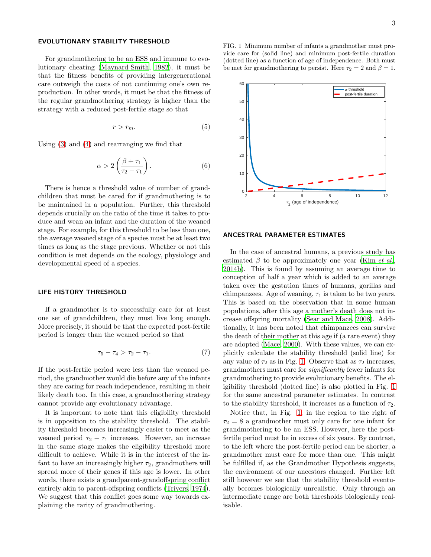## EVOLUTIONARY STABILITY THRESHOLD

For grandmothering to be an ESS and immune to evolutionary cheating [\(Maynard Smith, 1982\)](#page-4-11), it must be that the fitness benefits of providing intergenerational care outweigh the costs of not continuing one's own reproduction. In other words, it must be that the fitness of the regular grandmothering strategy is higher than the strategy with a reduced post-fertile stage so that

$$
r > r_m. \tag{5}
$$

Using [\(3\)](#page-1-0) and [\(4\)](#page-1-1) and rearranging we find that

$$
\alpha > 2\left(\frac{\beta + \tau_1}{\tau_2 - \tau_1}\right). \tag{6}
$$

There is hence a threshold value of number of grandchildren that must be cared for if grandmothering is to be maintained in a population. Further, this threshold depends crucially on the ratio of the time it takes to produce and wean an infant and the duration of the weaned stage. For example, for this threshold to be less than one, the average weaned stage of a species must be at least two times as long as the stage previous. Whether or not this condition is met depends on the ecology, physiology and developmental speed of a species.

#### LIFE HISTORY THRESHOLD

If a grandmother is to successfully care for at least one set of grandchildren, they must live long enough. More precisely, it should be that the expected post-fertile period is longer than the weaned period so that

$$
\tau_5 - \tau_4 > \tau_2 - \tau_1. \tag{7}
$$

If the post-fertile period were less than the weaned period, the grandmother would die before any of the infants they are caring for reach independence, resulting in their likely death too. In this case, a grandmothering strategy cannot provide any evolutionary advantage.

It is important to note that this eligibility threshold is in opposition to the stability threshold. The stability threshold becomes increasingly easier to meet as the weaned period  $\tau_2 - \tau_1$  increases. However, an increase in the same stage makes the eligibility threshold more difficult to achieve. While it is in the interest of the infant to have an increasingly higher  $\tau_2$ , grandmothers will spread more of their genes if this age is lower. In other words, there exists a grandparent-grandoffspring conflict entirely akin to parent-offspring conflicts [\(Trivers, 1974\)](#page-4-9). We suggest that this conflict goes some way towards explaining the rarity of grandmothering.

<span id="page-2-0"></span>



#### ANCESTRAL PARAMETER ESTIMATES

In the case of ancestral humans, a previous study has estimated  $\beta$  to be approximately one year (Kim *[et al.](#page-4-10)*, [2014b\)](#page-4-10). This is found by assuming an average time to conception of half a year which is added to an average taken over the gestation times of humans, gorillas and chimpanzees. Age of weaning,  $\tau_1$  is taken to be two years. This is based on the observation that in some human populations, after this age a mother's death does not increase offspring mortality [\(Sear and Mace, 2008\)](#page-4-12). Additionally, it has been noted that chimpanzees can survive the death of their mother at this age if (a rare event) they are adopted [\(Mace, 2000\)](#page-4-13). With these values, we can explicitly calculate the stability threshold (solid line) for any value of  $\tau_2$  as in Fig. [1.](#page-2-0) Observe that as  $\tau_2$  increases, grandmothers must care for significantly fewer infants for grandmothering to provide evolutionary benefits. The eligibility threshold (dotted line) is also plotted in Fig. [1](#page-2-0) for the same ancestral parameter estimates. In contrast to the stability threshold, it increases as a function of  $\tau_2$ .

Notice that, in Fig. [1,](#page-2-0) in the region to the right of  $\tau_2 = 8$  a grandmother must only care for one infant for grandmothering to be an ESS. However, here the postfertile period must be in excess of six years. By contrast, to the left where the post-fertile period can be shorter, a grandmother must care for more than one. This might be fulfilled if, as the Grandmother Hypothesis suggests, the environment of our ancestors changed. Further left still however we see that the stability threshold eventually becomes biologically unrealistic. Only through an intermediate range are both thresholds biologically realisable.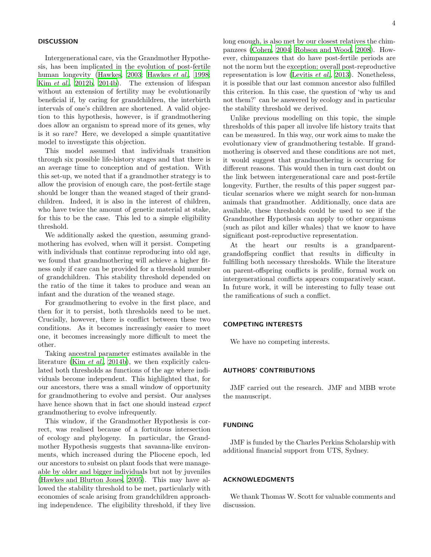## DISCUSSION

Intergenerational care, via the Grandmother Hypothesis, has been implicated in the evolution of post-fertile human longevity [\(Hawkes, 2003;](#page-4-14) [Hawkes](#page-4-4) et al., [1998;](#page-4-4) Kim [et al.](#page-4-15), [2012b](#page-4-15), [2014b\)](#page-4-10). The extension of lifespan without an extension of fertility may be evolutionarily beneficial if, by caring for grandchildren, the interbirth intervals of one's children are shortened. A valid objection to this hypothesis, however, is if grandmothering does allow an organism to spread more of its genes, why is it so rare? Here, we developed a simple quantitative model to investigate this objection.

This model assumed that individuals transition through six possible life-history stages and that there is an average time to conception and of gestation. With this set-up, we noted that if a grandmother strategy is to allow the provision of enough care, the post-fertile stage should be longer than the weaned staged of their grandchildren. Indeed, it is also in the interest of children, who have twice the amount of genetic material at stake, for this to be the case. This led to a simple eligibility threshold.

We additionally asked the question, assuming grandmothering has evolved, when will it persist. Competing with individuals that continue reproducing into old age, we found that grandmothering will achieve a higher fitness only if care can be provided for a threshold number of grandchildren. This stability threshold depended on the ratio of the time it takes to produce and wean an infant and the duration of the weaned stage.

For grandmothering to evolve in the first place, and then for it to persist, both thresholds need to be met. Crucially, however, there is conflict between these two conditions. As it becomes increasingly easier to meet one, it becomes increasingly more difficult to meet the other.

Taking ancestral parameter estimates available in the literature (Kim *[et al.](#page-4-10)*, [2014b\)](#page-4-10), we then explicitly calculated both thresholds as functions of the age where individuals become independent. This highlighted that, for our ancestors, there was a small window of opportunity for grandmothering to evolve and persist. Our analyses have hence shown that in fact one should instead *expect* grandmothering to evolve infrequently.

This window, if the Grandmother Hypothesis is correct, was realised because of a fortuitous intersection of ecology and phylogeny. In particular, the Grandmother Hypothesis suggests that savanna-like environments, which increased during the Pliocene epoch, led our ancestors to subsist on plant foods that were manageable by older and bigger individuals but not by juveniles [\(Hawkes and Blurton Jones](#page-4-16), [2005\)](#page-4-16). This may have allowed the stability threshold to be met, particularly with economies of scale arising from grandchildren approaching independence. The eligibility threshold, if they live long enough, is also met by our closest relatives the chimpanzees [\(Cohen, 2004;](#page-4-17) [Robson and Wood, 2008\)](#page-4-18). However, chimpanzees that do have post-fertile periods are not the norm but the exception; overall post-reproductive representation is low [\(Levitis](#page-4-3) et al., [2013\)](#page-4-3). Nonetheless, it is possible that our last common ancestor also fulfilled this criterion. In this case, the question of 'why us and not them?' can be answered by ecology and in particular the stability threshold we derived.

Unlike previous modelling on this topic, the simple thresholds of this paper all involve life history traits that can be measured. In this way, our work aims to make the evolutionary view of grandmothering testable. If grandmothering is observed and these conditions are not met, it would suggest that grandmothering is occurring for different reasons. This would then in turn cast doubt on the link between intergenerational care and post-fertile longevity. Further, the results of this paper suggest particular scenarios where we might search for non-human animals that grandmother. Additionally, once data are available, these thresholds could be used to see if the Grandmother Hypothesis can apply to other organisms (such as pilot and killer whales) that we know to have significant post-reproductive representation.

At the heart our results is a grandparentgrandoffspring conflict that results in difficulty in fulfilling both necessary thresholds. While the literature on parent-offspring conflicts is prolific, formal work on intergenerational conflicts appears comparatively scant. In future work, it will be interesting to fully tease out the ramifications of such a conflict.

# COMPETING INTERESTS

We have no competing interests.

# AUTHORS' CONTRIBUTIONS

JMF carried out the research. JMF and MBB wrote the manuscript.

#### FUNDING

JMF is funded by the Charles Perkins Scholarship with additional financial support from UTS, Sydney.

## ACKNOWLEDGMENTS

We thank Thomas W. Scott for valuable comments and discussion.